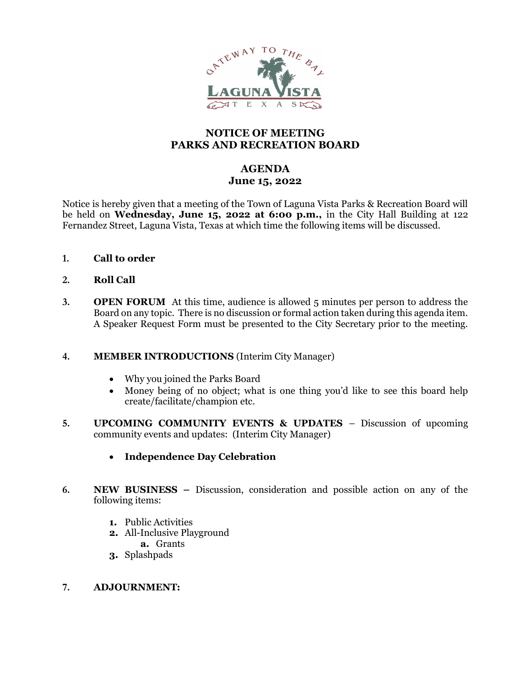

# NOTICE OF MEETING PARKS AND RECREATION BOARD

# AGENDA June 15, 2022

Notice is hereby given that a meeting of the Town of Laguna Vista Parks & Recreation Board will be held on Wednesday, June 15, 2022 at 6:00 p.m., in the City Hall Building at 122 Fernandez Street, Laguna Vista, Texas at which time the following items will be discussed.

1. Call to order

## 2. Roll Call

3. OPEN FORUM At this time, audience is allowed 5 minutes per person to address the Board on any topic. There is no discussion or formal action taken during this agenda item. A Speaker Request Form must be presented to the City Secretary prior to the meeting.

#### 4. MEMBER INTRODUCTIONS (Interim City Manager)

- Why you joined the Parks Board
- Money being of no object; what is one thing you'd like to see this board help create/facilitate/champion etc.
- 5. UPCOMING COMMUNITY EVENTS & UPDATES Discussion of upcoming community events and updates: (Interim City Manager)
	- Independence Day Celebration
- 6. NEW BUSINESS Discussion, consideration and possible action on any of the following items:
	- 1. Public Activities
	- 2. All-Inclusive Playground
		- a. Grants
	- 3. Splashpads

#### 7. ADJOURNMENT: